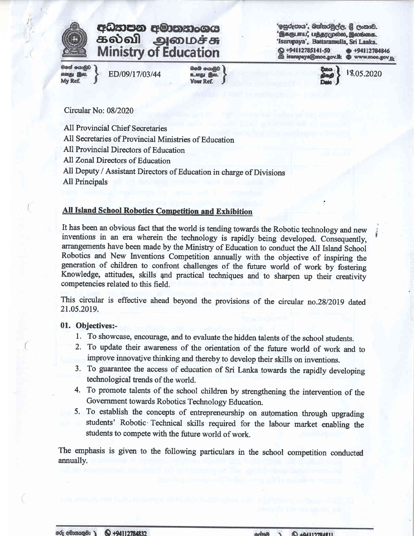

# effim aoboll அமைச்சு

මගේ යොමුව My Ref.

ED/09/17/03/44

හිමේ යොමුව

'ඉසුරුපාය', බත්තරමුල්ල, ශී ලංකාව. 'இசுருபாய,' பத்தரமுல்ல, இலங்கை. 'Isurupaya', Battaramulla, Sri Lanka. +94112785141-50 +94112784846 isurupaya@moe.gov.lk @ www.moe.gov.jk

18.05.2020

Circular No: 08/2020

All Provincial Chief Secretaries

All Secretaries of Provincial Ministries of Education

All Provincial Directors of Education

All Zonal Directors of Education

All Deputy / Assistant Directors of Education in charge of Divisions All Principals

# All Island School Robotics Competition and Exhibition

It has been an obvious fact that the world is tending towards the Robotic technology and new inventions in an era wherein the technology is rapidly being developed. Consequently, arangements have been made by the Minisfiy of Education to conduct the All Island School Robotics and New Inventions Competition annually with the objective of inspiring the generation of children to confront challenges of the future world of work by fostering Knowledge, attitudes, skills and practical techniques and to sharpen up their creativity competencies related to this field.

This circular is effective ahead beyond the provisions of the circular no.28/2019 dated 21.05.20t9.

# 01. Objectives:-

- l. To showcase, encourage, and to evaluate the hidden talents of the school sfudents.
- 2. To update their awareness of the orientation of the future world of work and to improve innovative thinking and thereby to develop their skills on inventions.
- 3. To guarantee the access of education of Sri Lanka towards the rapidly developing technological frends of the world.
- 4. To promote talents of the school children by strengthening the intervention of the Government towards Robotics Technology Education.
- 5. To establish the concepts of entrepreneurship on automation through upgrading students' Robotic'Technical skills required for the labour market enabling the students to compete with the future world of work.

The emphasis is given to the following particulars in the school competition conducted annually.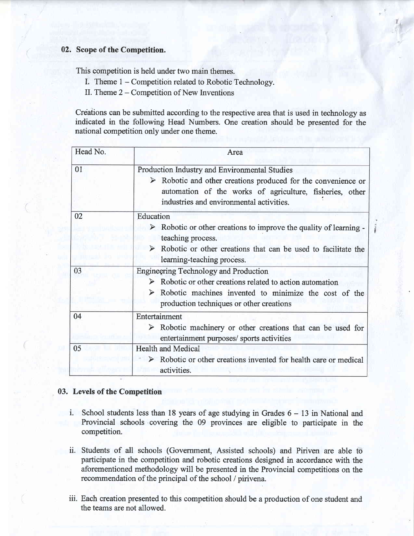# 02. Scope of the Competition.

This competition is held under two main themes.

- I. Theme 1 Competitioh related to Robotic Technology.
- II. Theme  $2 -$  Competition of New Inventions

Creations can be submitted according to the respective areathat is used in technology as indicated in the following Head Numbers. One creation should be presented for the national competition only under one therne.

| Head No. | Area                                                                                                                                                                                                                                  |  |  |  |  |
|----------|---------------------------------------------------------------------------------------------------------------------------------------------------------------------------------------------------------------------------------------|--|--|--|--|
| 01       | Production Industry and Environmental Studies<br>Robotic and other creations produced for the convenience or<br>automation of the works of agriculture, fisheries, other<br>industries and environmental activities.                  |  |  |  |  |
| 02       | Education<br>$\triangleright$ Robotic or other creations to improve the quality of learning -<br>teaching process.<br>$\triangleright$ Robotic or other creations that can be used to facilitate the<br>learning-teaching process.    |  |  |  |  |
| 03       | <b>Engineering Technology and Production</b><br>Robotic or other creations related to action automation<br>Robotic machines invented to minimize the cost of the<br>$\blacktriangleright$<br>production techniques or other creations |  |  |  |  |
| 04       | Entertainment<br>$\triangleright$ Robotic machinery or other creations that can be used for<br>entertainment purposes/ sports activities                                                                                              |  |  |  |  |
| 05       | <b>Health and Medical</b><br>Robotic or other creations invented for health care or medical<br>activities.                                                                                                                            |  |  |  |  |

## 03. Levels of the Competition

- i. School students less than 18 years of age studying in Grades  $6 13$  in National and Provincial schools covering the 09 provinces are eligible to participate in the competition.
- ii. Students of all schools (Govemment, Assisted schools) and Piriven are able to participate in the competition and robotic creations designed in accordance with the aforementioned methodology will be presented in the Provincial competitions on the recommendation of the principal of the school / pirivena.
- iii. Each creation presented to this competition should be a production of one student and the teams are not allowed.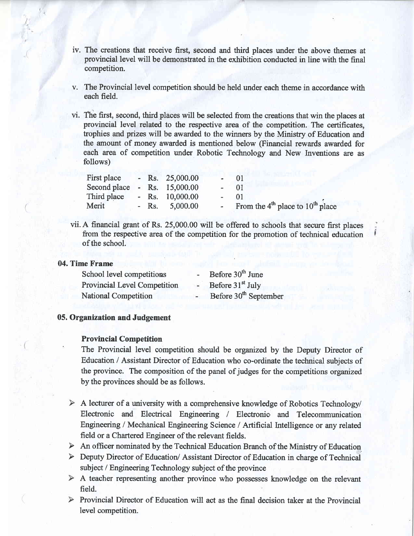- iv. The creations that receive first, second and third places under the above themes at provincial level will be demonsfrated in the exhibition conducted in line with the final competition.
- v. The Provincial level competition should be held under each theme in accordance with each field.
- vi. The first, second, third places will be selected from the creations that win the places at provincial level related to the respective area of the competition. The certificates, trophies and prizes will be awarded to the winners by the Ministry of Education and the amount of money awarded is mentioned below (Financial rewards awarded for each area of competition under Robotic Technology and New Inventions are as follows)

| First place                  |  | - Rs. $25,000.00$ | $-01$  |                                        |
|------------------------------|--|-------------------|--------|----------------------------------------|
| Second place - Rs. 15,000.00 |  |                   | $- 01$ |                                        |
| Third place                  |  | - Rs. $10,000.00$ | $-01$  |                                        |
| Merit                        |  | - Rs. $5,000.00$  |        | - From the $4th$ place to $10th$ place |

vii. A financial grant of Rs. 25,000.00 will be offered to schools that secure first places from the respecfive area of the competition for the promotion of technical education of the school.

#### 04. Time Frame

I.

| School level competitions    | $\blacksquare$ | Before 30 <sup>th</sup> June      |
|------------------------------|----------------|-----------------------------------|
| Provincial Level Competition | $\overline{a}$ | Before 31 <sup>st</sup> July      |
| <b>National Competition</b>  |                | Before 30 <sup>th</sup> September |

# 05. Organization and Judgement

## **Provincial Competition**

The Provincial level competition should be orgarized by the Deputy Director of Education / Assistant Director of Education who co-ordinate the technical subjects of the province. The composition of the panel of judges for the competitions organized by the provihces should be as follows.

- $\triangleright$  A lecturer of a university with a comprehensive knowledge of Robotics Technology/ Electronic and Electrical Engineering / Electronic and Telecommunication Engineering / Mechanical Engineering Science / Artificial Intelligence or any related field or a Chartered Engineer of the relevant fields.
- $\triangleright$  An officer nominated by the Technical Education Branch of the Ministry of Education
- Deputy Director of Education/ Assistant Director of Education in charge of Technical subject / Engineering Technology subject of the province
- A teacher representing another province who possesses knowledge on the relevant field.
- $\triangleright$  Provincial Director of Education will act as the final decision taker at the Provincial level competition.